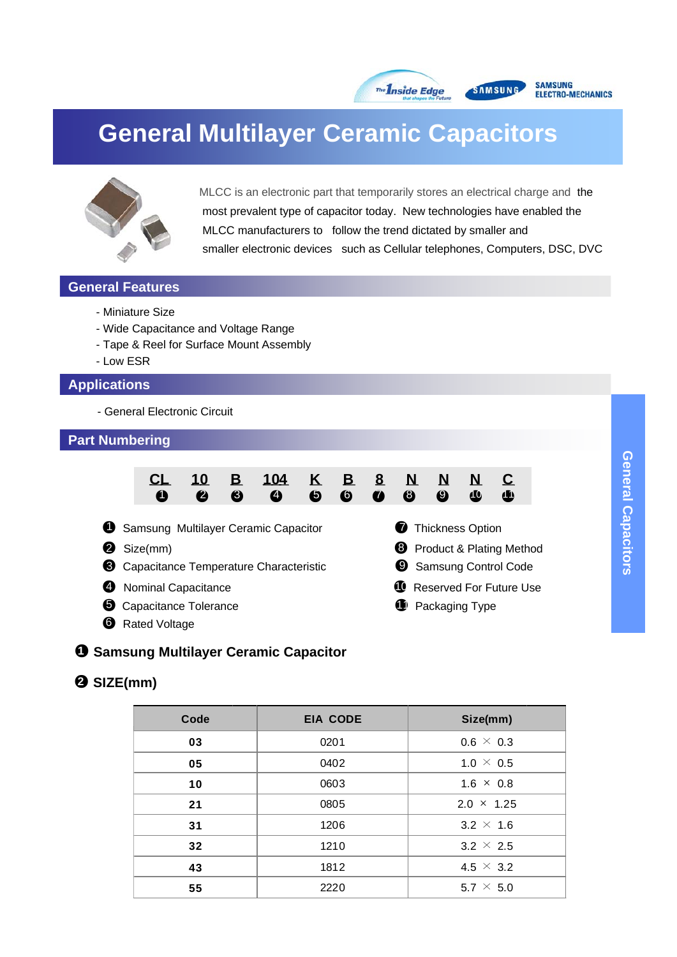

# **General Multilayer Ceramic Capacitors**



MLCC is an electronic part that temporarily stores an electrical charge and the most prevalent type of capacitor today. New technologies have enabled the MLCC manufacturers to follow the trend dictated by smaller and smaller electronic devices such as Cellular telephones, Computers, DSC, DVC

#### **General Features**

- Miniature Size
- Wide Capacitance and Voltage Range
- Tape & Reel for Surface Mount Assembly
- Low ESR

#### **Applications**

- General Electronic Circuit

#### **Part Numbering**



#### ●**1 Samsung Multilayer Ceramic Capacitor**

## ●**2 SIZE(mm)**

| Code | <b>EIA CODE</b>          | Size(mm)          |
|------|--------------------------|-------------------|
| 03   | 0201                     | $0.6 \times 0.3$  |
| 05   | 0402                     | 1.0 $\times$ 0.5  |
| 10   | 0603<br>$1.6 \times 0.8$ |                   |
| 21   | 0805                     | $2.0 \times 1.25$ |
| 31   | 1206                     | $3.2 \times 1.6$  |
| 32   | 1210                     | $3.2 \times 2.5$  |
| 43   | 1812                     | 4.5 $\times$ 3.2  |
| 55   | 2220                     | $5.7 \times 5.0$  |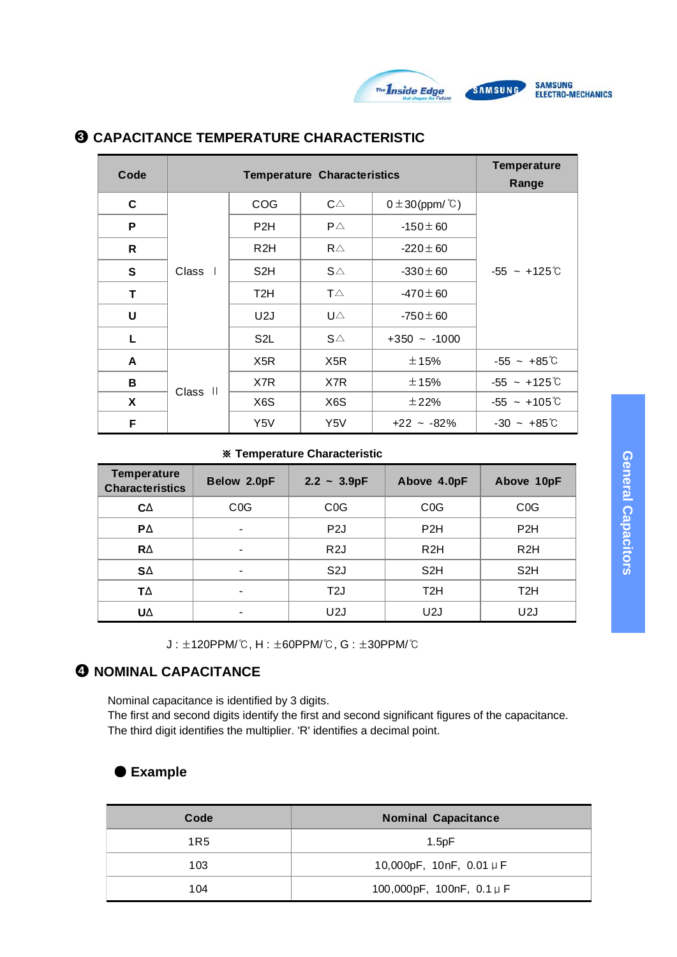

| Code | <b>Temperature Characteristics</b> |                  |              |                               | <b>Temperature</b><br>Range |
|------|------------------------------------|------------------|--------------|-------------------------------|-----------------------------|
| C    |                                    | COG              | $C\triangle$ | $0 \pm 30$ (ppm/ $\degree$ C) |                             |
| P    |                                    | P <sub>2</sub> H | $P\triangle$ | $-150 \pm 60$                 |                             |
| R    |                                    | R2H              | $R\triangle$ | $-220 \pm 60$                 |                             |
| S    | Class I                            | S <sub>2</sub> H | $S\triangle$ | $-330 \pm 60$                 | $-55 - +125$ C              |
| T    |                                    | T <sub>2</sub> H | $T\triangle$ | $-470 \pm 60$                 |                             |
| U    |                                    | U2J              | UA           | $-750 \pm 60$                 |                             |
| L    |                                    | S <sub>2</sub> L | $S\triangle$ | $+350 - 1000$                 |                             |
| A    |                                    | X <sub>5</sub> R | X5R          | ±15%                          | $-55 - +85^{\circ}$         |
| в    | Class II                           | X7R              | X7R          | ±15%                          | $-55 - +125^{\circ}$        |
| Χ    |                                    | X <sub>6</sub> S | X6S          | ±22%                          | $-55 - +105^{\circ}$        |
| F    |                                    | Y5V              | Y5V          | $+22 - 82%$                   | $-30 - +85^{\circ}$         |

#### ●**3 CAPACITANCE TEMPERATURE CHARACTERISTIC**

#### ※ **Temperature Characteristic**

| <b>Temperature</b><br><b>Characteristics</b> | Below 2.0pF              | $2.2 - 3.9pF$    | Above 4.0pF      | Above 10pF       |
|----------------------------------------------|--------------------------|------------------|------------------|------------------|
| CΔ                                           | COG                      | COG              | COG              | COG              |
| PΔ                                           | $\overline{\phantom{a}}$ | P <sub>2</sub> J | P <sub>2</sub> H | P <sub>2</sub> H |
| $R\Delta$                                    | $\overline{\phantom{a}}$ | R <sub>2</sub> J | R2H              | R2H              |
| $S\Delta$                                    | $\overline{\phantom{a}}$ | S <sub>2</sub> J | S <sub>2</sub> H | S <sub>2</sub> H |
| ТΔ                                           | $\blacksquare$           | T <sub>2</sub> J | T <sub>2</sub> H | T <sub>2</sub> H |
| UΔ                                           | $\blacksquare$           | U2J              | U2J              | U <sub>2</sub> J |

J : ±120PPM/℃, H : ±60PPM/℃, G : ±30PPM/℃

# **4 NOMINAL CAPACITANCE**

Nominal capacitance is identified by 3 digits. The first and second digits identify the first and second significant figures of the capacitance. The third digit identifies the multiplier. 'R' identifies a decimal point.

# ● **Example**

| Code            | <b>Nominal Capacitance</b>      |  |
|-----------------|---------------------------------|--|
| 1R <sub>5</sub> | 1.5pF                           |  |
| 103             | 10,000pF, 10nF, 0.01 $\mu$ F    |  |
| 104             | 100,000pF, 100nF, $0.1 \,\mu$ F |  |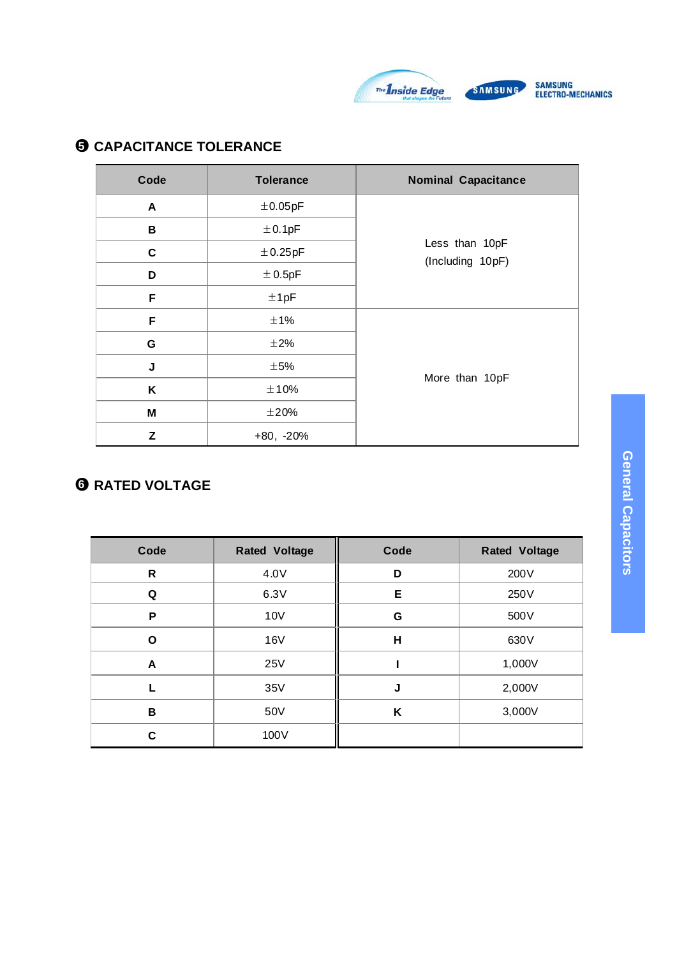

# $\Theta$  **CAPACITANCE TOLERANCE**

| Code        | <b>Tolerance</b> | <b>Nominal Capacitance</b>         |
|-------------|------------------|------------------------------------|
| A           | $\pm$ 0.05pF     |                                    |
| В           | ±0.1pF           |                                    |
| C           | ±0.25pF          | Less than 10pF<br>(Including 10pF) |
| D           | ± 0.5pF          |                                    |
| F           | ±1pF             |                                    |
| F           | ±1%              |                                    |
| G           | $\pm 2\%$        |                                    |
| $\mathsf J$ | $\pm$ 5%         |                                    |
| K           | ±10%             | More than 10pF                     |
| M           | ±20%             |                                    |
| Z           | $+80, -20%$      |                                    |

# ●**6 RATED VOLTAGE**

| Code         | <b>Rated Voltage</b> | Code | <b>Rated Voltage</b> |
|--------------|----------------------|------|----------------------|
| $\mathsf{R}$ | 4.0V                 | D    | 200V                 |
| Q            | 6.3V                 | Е    | 250V                 |
| P            | 10V                  | G    | 500V                 |
| O            | 16V                  | Н    | 630V                 |
| A            | <b>25V</b>           |      | 1,000V               |
|              | 35V                  | J    | 2,000V               |
| B            | 50V                  | K    | 3,000V               |
| C            | 100V                 |      |                      |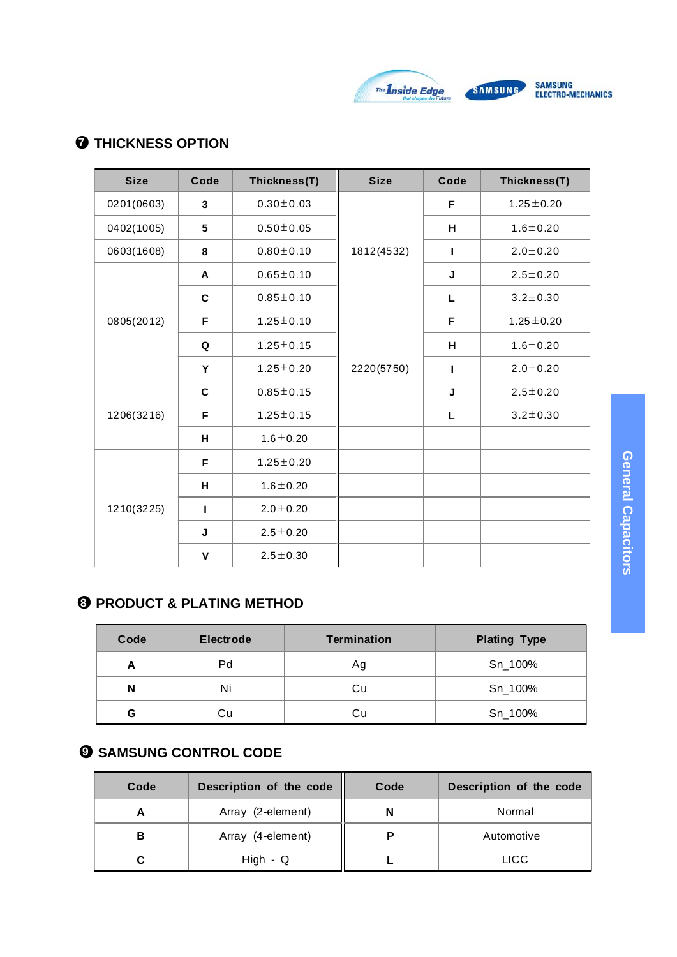

# ●**7 THICKNESS OPTION**

| <b>Size</b>     | Code         | Thickness(T)    | <b>Size</b> | Code | Thickness(T)    |
|-----------------|--------------|-----------------|-------------|------|-----------------|
| 0201(0603)      | 3            | $0.30 \pm 0.03$ |             | F    | $1.25 \pm 0.20$ |
| 0402(1005)<br>5 |              | $0.50 \pm 0.05$ |             | н    | $1.6 \pm 0.20$  |
| 0603(1608)      | 8            | $0.80 \pm 0.10$ | 1812(4532)  | т    | $2.0 \pm 0.20$  |
|                 | A            | $0.65 \pm 0.10$ |             | J    | $2.5 \pm 0.20$  |
|                 | C            | $0.85 \pm 0.10$ |             | L    | $3.2 \pm 0.30$  |
| 0805(2012)      | F            | $1.25 \pm 0.10$ |             | F    | $1.25 \pm 0.20$ |
|                 | Q            | $1.25 \pm 0.15$ |             | H    | $1.6 + 0.20$    |
|                 | Y            | $1.25 \pm 0.20$ | 2220(5750)  | п    | $2.0 \pm 0.20$  |
|                 | C            | $0.85 \pm 0.15$ |             | J    | $2.5 \pm 0.20$  |
| 1206(3216)      | F            | $1.25 \pm 0.15$ |             | L    | $3.2 \pm 0.30$  |
|                 | н            | $1.6 \pm 0.20$  |             |      |                 |
|                 | F            | $1.25 \pm 0.20$ |             |      |                 |
|                 | н            | $1.6 \pm 0.20$  |             |      |                 |
| 1210(3225)      | L            | $2.0 \pm 0.20$  |             |      |                 |
|                 | J            | $2.5 \pm 0.20$  |             |      |                 |
|                 | $\mathsf{V}$ | $2.5 \pm 0.30$  |             |      |                 |

# **8** PRODUCT & PLATING METHOD

| Code | <b>Electrode</b> | <b>Termination</b> | <b>Plating Type</b> |
|------|------------------|--------------------|---------------------|
| А    | Pd               | Ag                 | Sn_100%             |
| N    | Ni               | Сu                 | Sn_100%             |
| G    | Сu               | Сu                 | Sn_100%             |

# ●**9 SAMSUNG CONTROL CODE**

| Code | Description of the code | Code | Description of the code |
|------|-------------------------|------|-------------------------|
|      | Array (2-element)       |      | Normal                  |
| в    | Array (4-element)       |      | Automotive              |
|      | $High - Q$              |      | <b>LICC</b>             |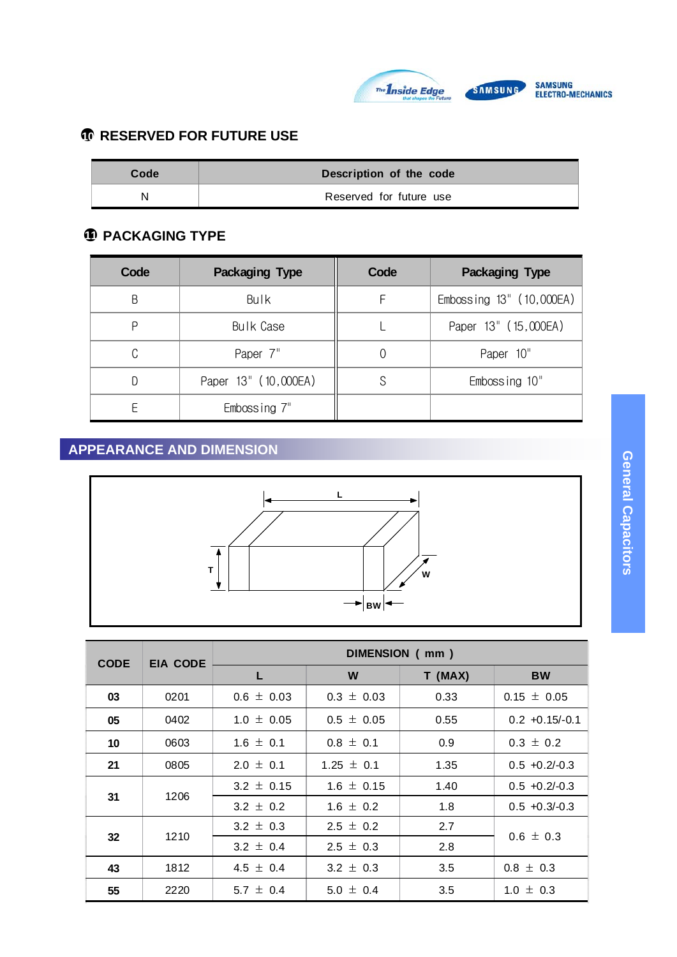

# ●**10 RESERVED FOR FUTURE USE**

| Code | Description of the code |  |
|------|-------------------------|--|
|      | Reserved for future use |  |

# ●**11 PACKAGING TYPE**

| Code | <b>Packaging Type</b> | Code | <b>Packaging Type</b>    |
|------|-----------------------|------|--------------------------|
| B    | Bulk                  | F    | Embossing 13" (10,000EA) |
| ρ    | Bulk Case             |      | Paper 13" (15,000EA)     |
| C    | Paper 7"              |      | Paper 10"                |
|      | Paper 13" (10,000EA)  |      | Embossing 10"            |
|      | Embossing 7"          |      |                          |

# **APPEARANCE AND DIMENSION**



| <b>CODE</b> | EIA CODE   | DIMENSION (mm) |                |         |                  |
|-------------|------------|----------------|----------------|---------|------------------|
|             |            |                | W              | T (MAX) | <b>BW</b>        |
| 03          | 0201       | $0.6 \pm 0.03$ | $0.3 \pm 0.03$ | 0.33    | $0.15 \pm 0.05$  |
| 05          | 0402       | $1.0 \pm 0.05$ | $0.5 \pm 0.05$ | 0.55    | $0.2 +0.15/-0.1$ |
| 10          | 0603       | $1.6 \pm 0.1$  | $0.8 \pm 0.1$  | 0.9     | $0.3 \pm 0.2$    |
| 21          | 0805       | $2.0 \pm 0.1$  | $1.25 \pm 0.1$ | 1.35    | $0.5 + 0.2/-0.3$ |
|             | 1206       | $3.2 \pm 0.15$ | $1.6 \pm 0.15$ | 1.40    | $0.5 + 0.2/-0.3$ |
| 31          |            | $3.2 \pm 0.2$  | $1.6 \pm 0.2$  | 1.8     | $0.5 + 0.3/-0.3$ |
|             | 1210<br>32 | $3.2 \pm 0.3$  | $2.5 \pm 0.2$  | 2.7     |                  |
|             |            | $3.2 \pm 0.4$  | $2.5 \pm 0.3$  | 2.8     | $0.6 \pm 0.3$    |
| 43          | 1812       | 4.5 $\pm$ 0.4  | $3.2 \pm 0.3$  | 3.5     | $0.8 \pm 0.3$    |
| 55          | 2220       | 5.7 $\pm$ 0.4  | 5.0 $\pm$ 0.4  | 3.5     | $1.0 \pm 0.3$    |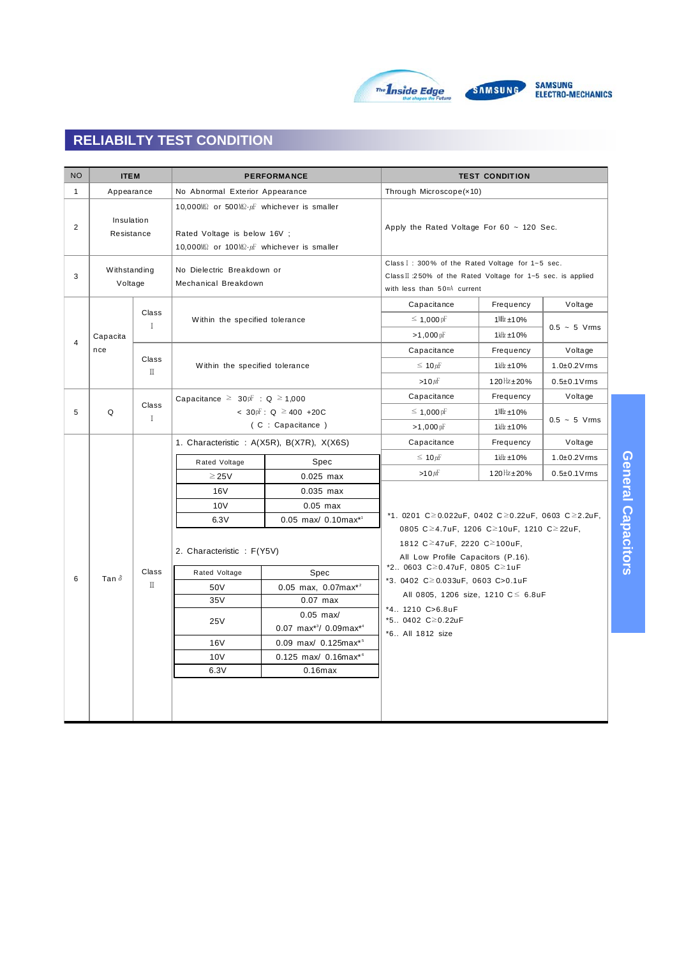

| <b>NO</b>      | <b>ITEM</b>               |                                           |                                                                                                                                                                        | <b>PERFORMANCE</b>                                              | <b>TEST CONDITION</b>                                                                                       |                                                                                                                                                                       |                    |  |  |  |  |  |  |            |             |             |             |                     |
|----------------|---------------------------|-------------------------------------------|------------------------------------------------------------------------------------------------------------------------------------------------------------------------|-----------------------------------------------------------------|-------------------------------------------------------------------------------------------------------------|-----------------------------------------------------------------------------------------------------------------------------------------------------------------------|--------------------|--|--|--|--|--|--|------------|-------------|-------------|-------------|---------------------|
| $\mathbf{1}$   | Appearance                |                                           | No Abnormal Exterior Appearance                                                                                                                                        |                                                                 | Through Microscope(x10)                                                                                     |                                                                                                                                                                       |                    |  |  |  |  |  |  |            |             |             |             |                     |
| 2              | Insulation<br>Resistance  |                                           | 10,000 $M\Omega$ or 500 $M\Omega \cdot \mu F$ whichever is smaller<br>Rated Voltage is below 16V ;<br>10,000 $M\Omega$ or 100 $M\Omega \cdot \mu$ whichever is smaller |                                                                 |                                                                                                             | Apply the Rated Voltage For $60 \sim 120$ Sec.                                                                                                                        |                    |  |  |  |  |  |  |            |             |             |             |                     |
| 3              | Withstanding<br>Voltage   |                                           | No Dielectric Breakdown or<br>Mechanical Breakdown                                                                                                                     |                                                                 | Capacitance                                                                                                 | Class I: 300% of the Rated Voltage for 1~5 sec.<br>Class II :250% of the Rated Voltage for 1~5 sec. is applied<br>with less than 50mA current<br>Frequency<br>Voltage |                    |  |  |  |  |  |  |            |             |             |             |                     |
| $\overline{4}$ | Capacita                  | Class<br>$\mathbf I$                      | Within the specified tolerance                                                                                                                                         |                                                                 | $\leq 1,000$ pF<br>$>1,000$ pF                                                                              | $1$ MHz $\pm$ 10%<br>$1$ kHz $\pm$ 10%                                                                                                                                | $0.5 - 5$ Vrms     |  |  |  |  |  |  |            |             |             |             |                     |
|                | nce                       | Class                                     |                                                                                                                                                                        |                                                                 | Capacitance                                                                                                 | Frequency                                                                                                                                                             | Voltage            |  |  |  |  |  |  |            |             |             |             |                     |
|                |                           | $\rm \Pi$                                 | Within the specified tolerance                                                                                                                                         |                                                                 | $\leq 10 \mu$ F                                                                                             | $1$ kHz $\pm 10%$                                                                                                                                                     | $1.0\pm0.2$ V rms  |  |  |  |  |  |  |            |             |             |             |                     |
|                |                           |                                           |                                                                                                                                                                        |                                                                 | $>10 \mu$ F                                                                                                 | 120 $Hz$ ± 20%                                                                                                                                                        | $0.5 \pm 0.1$ Vrms |  |  |  |  |  |  |            |             |             |             |                     |
|                |                           |                                           | Capacitance $\geq 30$ <sub>p</sub> F : Q $\geq 1,000$                                                                                                                  |                                                                 | Capacitance                                                                                                 | Frequency                                                                                                                                                             | Voltage            |  |  |  |  |  |  |            |             |             |             |                     |
| 5              | Class<br>Q<br>$\mathbf I$ |                                           |                                                                                                                                                                        | < 30pF : Q ≥ 400 + 20C                                          | $\leq 1,000$ pF                                                                                             | $1$ MHz $\pm$ 10%                                                                                                                                                     | $0.5 - 5$ Vrms     |  |  |  |  |  |  |            |             |             |             |                     |
|                |                           |                                           | (C : Capacitance)                                                                                                                                                      |                                                                 | $>1,000$ pF                                                                                                 | $1$ kHz $\pm$ 10%                                                                                                                                                     |                    |  |  |  |  |  |  |            |             |             |             |                     |
|                |                           | 1. Characteristic: A(X5R), B(X7R), X(X6S) |                                                                                                                                                                        |                                                                 | Capacitance                                                                                                 | Frequency                                                                                                                                                             | Voltage            |  |  |  |  |  |  |            |             |             |             |                     |
|                |                           |                                           | Spec<br>Rated Voltage                                                                                                                                                  |                                                                 | $\leq 10 \mu$ F                                                                                             | $1$ kHz $\pm$ 10%                                                                                                                                                     | $1.0\pm0.2$ V rms  |  |  |  |  |  |  |            |             |             |             |                     |
|                |                           |                                           |                                                                                                                                                                        |                                                                 |                                                                                                             |                                                                                                                                                                       |                    |  |  |  |  |  |  | $\geq$ 25V | $0.025$ max | >10 $\mu$ F | 120Hz ± 20% | $0.5 \pm 0.1$ V rms |
|                |                           |                                           | 16V                                                                                                                                                                    | $0.035$ max                                                     |                                                                                                             |                                                                                                                                                                       |                    |  |  |  |  |  |  |            |             |             |             |                     |
|                |                           |                                           | 10V                                                                                                                                                                    | $0.05$ max                                                      |                                                                                                             | *1. 0201 C $\geq$ 0.022uF, 0402 C $\geq$ 0.22uF, 0603 C $\geq$ 2.2uF,                                                                                                 |                    |  |  |  |  |  |  |            |             |             |             |                     |
|                |                           |                                           | 6.3V                                                                                                                                                                   | $0.05$ max/ $0.10$ max <sup>*1</sup>                            |                                                                                                             |                                                                                                                                                                       |                    |  |  |  |  |  |  |            |             |             |             |                     |
|                |                           |                                           | 2. Characteristic: F(Y5V)                                                                                                                                              |                                                                 | 0805 C≥4.7uF, 1206 C≥10uF, 1210 C≥22uF,<br>1812 C≥47uF, 2220 C≥100uF,<br>All Low Profile Capacitors (P.16). |                                                                                                                                                                       |                    |  |  |  |  |  |  |            |             |             |             |                     |
| 6              | Tan $\delta$              | Class                                     | Rated Voltage                                                                                                                                                          | Spec                                                            | *2 0603 C ≥ 0.47u F, 0805 C ≥ 1u F<br>*3. 0402 C 20.033uF, 0603 C > 0.1uF                                   |                                                                                                                                                                       |                    |  |  |  |  |  |  |            |             |             |             |                     |
|                |                           | П                                         | 50V                                                                                                                                                                    | $0.05$ max, $0.07$ max <sup>*2</sup>                            | All 0805, 1206 size, 1210 $C \le 6.8$ uF                                                                    |                                                                                                                                                                       |                    |  |  |  |  |  |  |            |             |             |             |                     |
|                |                           |                                           | 35V                                                                                                                                                                    | $0.07$ max                                                      | *4 1210 C>6.8uF                                                                                             |                                                                                                                                                                       |                    |  |  |  |  |  |  |            |             |             |             |                     |
|                |                           |                                           | 25V                                                                                                                                                                    | $0.05$ max/<br>$0.07$ max <sup>*3</sup> / 0.09max <sup>*4</sup> | *5 0402 C≥0.22uF<br>*6 All 1812 size                                                                        |                                                                                                                                                                       |                    |  |  |  |  |  |  |            |             |             |             |                     |
|                |                           |                                           | <b>16V</b>                                                                                                                                                             | 0.09 max/ 0.125max*5                                            |                                                                                                             |                                                                                                                                                                       |                    |  |  |  |  |  |  |            |             |             |             |                     |
|                |                           |                                           | 10 <sub>V</sub>                                                                                                                                                        | 0.125 max/ 0.16max*6                                            |                                                                                                             |                                                                                                                                                                       |                    |  |  |  |  |  |  |            |             |             |             |                     |
|                |                           |                                           | 6.3V                                                                                                                                                                   | $0.16$ max                                                      |                                                                                                             |                                                                                                                                                                       |                    |  |  |  |  |  |  |            |             |             |             |                     |
|                |                           |                                           |                                                                                                                                                                        |                                                                 |                                                                                                             |                                                                                                                                                                       |                    |  |  |  |  |  |  |            |             |             |             |                     |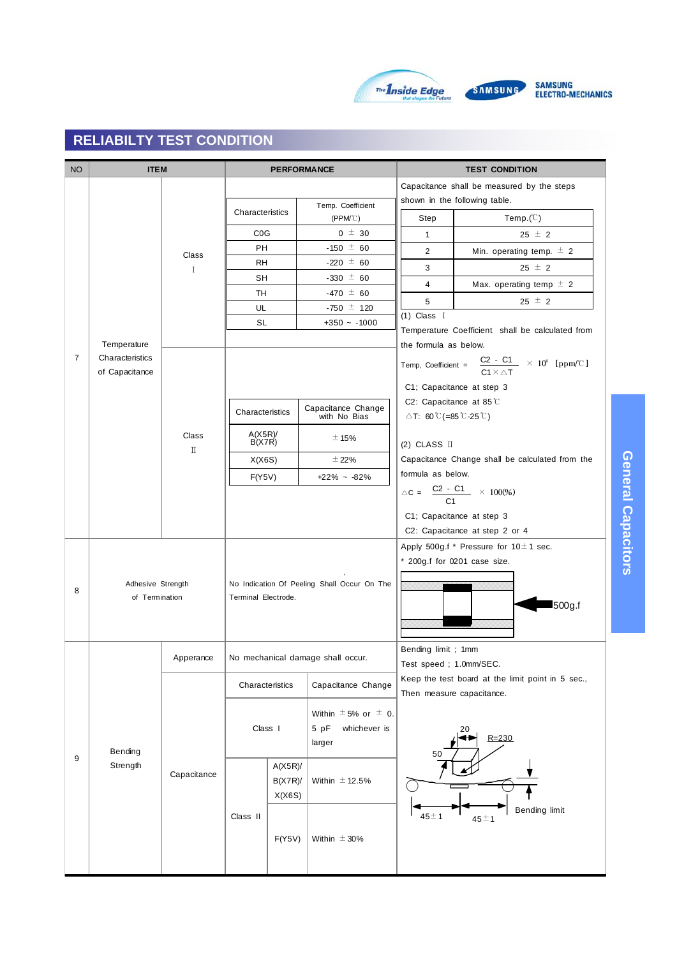

**General Capacitors**

General Capacitors

| <b>NO</b>      | <b>ITEM</b>                       |                                 |                     | <b>PERFORMANCE</b> |                                             |                                                 | <b>TEST CONDITION</b>                                                               |                                                  |  |  |
|----------------|-----------------------------------|---------------------------------|---------------------|--------------------|---------------------------------------------|-------------------------------------------------|-------------------------------------------------------------------------------------|--------------------------------------------------|--|--|
|                |                                   |                                 |                     |                    |                                             |                                                 | Capacitance shall be measured by the steps                                          |                                                  |  |  |
|                |                                   |                                 |                     |                    | Temp. Coefficient                           |                                                 | shown in the following table.                                                       |                                                  |  |  |
|                |                                   |                                 | Characteristics     |                    | $(PPM^{\circ}C)$                            | Step                                            | Temp. $(C)$                                                                         |                                                  |  |  |
|                |                                   |                                 | CO <sub>G</sub>     |                    | $0 \pm 30$                                  | $\mathbf{1}$                                    | $25 \pm 2$                                                                          |                                                  |  |  |
|                |                                   | Class                           | <b>PH</b>           |                    | $-150 \pm 60$                               | 2                                               | Min. operating temp. $\pm$ 2                                                        |                                                  |  |  |
|                |                                   | $\mathbf I$                     | <b>RH</b>           |                    | $-220 \pm 60$                               | 3                                               | 25 $\pm$ 2                                                                          |                                                  |  |  |
|                |                                   |                                 | <b>SH</b>           |                    | $-330 \pm 60$                               | $\overline{4}$                                  | Max. operating temp $\pm$ 2                                                         |                                                  |  |  |
|                |                                   |                                 | TH                  |                    | $-470 \pm 60$                               | 5                                               | $25 \pm 2$                                                                          |                                                  |  |  |
|                |                                   |                                 | UL                  |                    | $-750 \pm 120$                              | $(1)$ Class I                                   |                                                                                     |                                                  |  |  |
|                |                                   |                                 |                     | <b>SL</b>          |                                             | $+350 - 1000$                                   |                                                                                     | Temperature Coefficient shall be calculated from |  |  |
|                | Temperature                       |                                 |                     |                    |                                             | the formula as below.                           |                                                                                     |                                                  |  |  |
| $\overline{7}$ | Characteristics<br>of Capacitance |                                 |                     |                    |                                             |                                                 | Temp, Coefficient = $\frac{C2 - C1}{C1 \times \Delta T}$ × 10 <sup>6</sup> [ppm/°C] |                                                  |  |  |
|                |                                   |                                 |                     |                    |                                             |                                                 | C1; Capacitance at step 3                                                           |                                                  |  |  |
|                |                                   |                                 |                     |                    |                                             | C2: Capacitance at 85 $\degree$ C               |                                                                                     |                                                  |  |  |
|                |                                   |                                 | Characteristics     |                    | Capacitance Change<br>with No Bias          | $\triangle$ T: 60 °C (=85 °C-25 °C)             |                                                                                     |                                                  |  |  |
|                |                                   | Class<br>$\rm I\hspace{-.1em}I$ | A(X5R)<br>B(X7R)    |                    | ± 15%                                       | (2) CLASS $\Pi$                                 |                                                                                     |                                                  |  |  |
|                |                                   |                                 | X(X6S)              |                    | $±$ 22%                                     | Capacitance Change shall be calculated from the |                                                                                     |                                                  |  |  |
|                |                                   |                                 | F(Y5V)              |                    | $+22\% - 82\%$                              | formula as below.                               |                                                                                     |                                                  |  |  |
|                |                                   |                                 |                     |                    |                                             |                                                 | $\triangle C = \frac{C2 - C1}{C1} \times 100\%$                                     |                                                  |  |  |
|                |                                   |                                 |                     |                    |                                             |                                                 |                                                                                     |                                                  |  |  |
|                |                                   |                                 |                     |                    |                                             |                                                 | C1; Capacitance at step 3<br>C2: Capacitance at step 2 or 4                         |                                                  |  |  |
|                |                                   |                                 |                     |                    |                                             |                                                 | Apply 500g.f * Pressure for 10 ±1 sec.                                              |                                                  |  |  |
|                |                                   |                                 |                     |                    |                                             |                                                 |                                                                                     |                                                  |  |  |
|                |                                   |                                 |                     |                    |                                             | * 200g.f for 0201 case size.                    |                                                                                     |                                                  |  |  |
| 8              | Adhesive Strength                 |                                 |                     |                    | No Indication Of Peeling Shall Occur On The |                                                 |                                                                                     |                                                  |  |  |
|                | of Termination                    |                                 | Terminal Electrode. |                    |                                             |                                                 | 500g.f                                                                              |                                                  |  |  |
|                |                                   |                                 |                     |                    |                                             |                                                 |                                                                                     |                                                  |  |  |
|                |                                   |                                 |                     |                    |                                             |                                                 |                                                                                     |                                                  |  |  |
|                |                                   | Apperance                       |                     |                    | No mechanical damage shall occur.           | Bending limit; 1mm                              |                                                                                     |                                                  |  |  |
|                |                                   |                                 |                     |                    |                                             | Test speed; 1.0mm/SEC.                          |                                                                                     |                                                  |  |  |
|                |                                   |                                 | Characteristics     |                    | Capacitance Change                          |                                                 | Keep the test board at the limit point in 5 sec.,<br>Then measure capacitance.      |                                                  |  |  |
|                |                                   |                                 |                     |                    | Within $\pm$ 5% or $\pm$ 0.                 |                                                 |                                                                                     |                                                  |  |  |
|                |                                   |                                 | Class I             |                    | 5 pF<br>whichever is                        |                                                 | 20                                                                                  |                                                  |  |  |
|                |                                   |                                 |                     |                    | larger                                      |                                                 | $R = 230$                                                                           |                                                  |  |  |
| 9              | Bending<br>Strength               |                                 |                     | A(X5R)             |                                             | 50                                              |                                                                                     |                                                  |  |  |
|                |                                   | Capacitance                     |                     | B(X7R)             | Within $\pm$ 12.5%                          |                                                 |                                                                                     |                                                  |  |  |
|                |                                   |                                 |                     | X(X6S)             |                                             |                                                 |                                                                                     |                                                  |  |  |
|                |                                   |                                 |                     |                    |                                             |                                                 | Bending limit                                                                       |                                                  |  |  |
|                |                                   |                                 | Class II            |                    |                                             | $45 \pm 1$                                      | $45 \pm 1$                                                                          |                                                  |  |  |
|                |                                   |                                 |                     | F(Y5V)             | Within $\pm$ 30%                            |                                                 |                                                                                     |                                                  |  |  |
|                |                                   |                                 |                     |                    |                                             |                                                 |                                                                                     |                                                  |  |  |
|                |                                   |                                 |                     |                    |                                             |                                                 |                                                                                     |                                                  |  |  |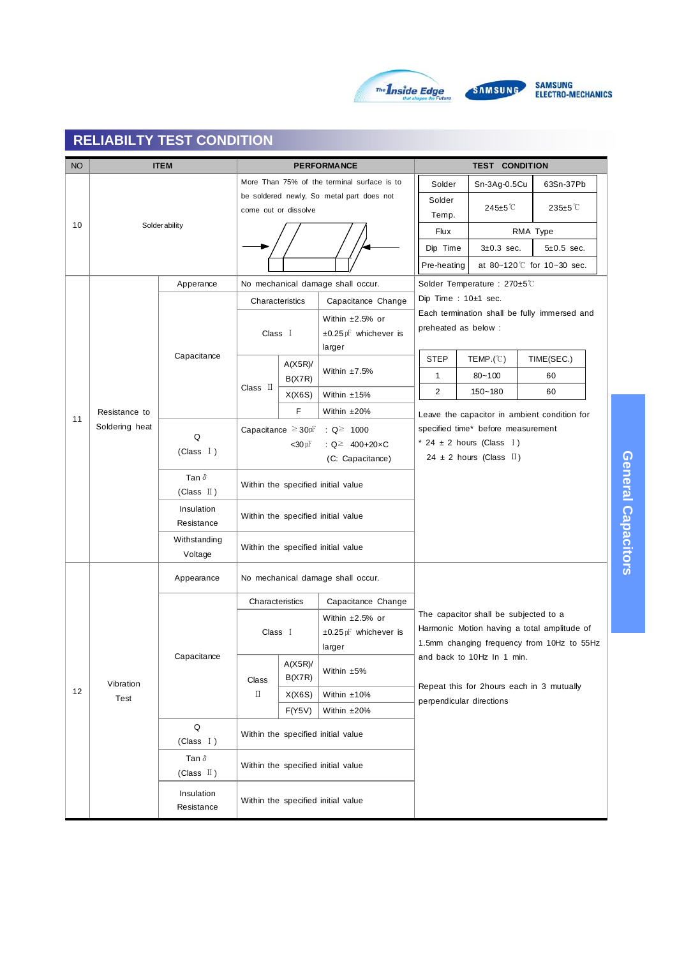

SAMSUNG<br>Electro-mechanics

| <b>NO</b> |                | <b>ITEM</b>                           |                 |                                     | <b>PERFORMANCE</b>                          | <b>TEST CONDITION</b>                             |                                       |                                                                                           |  |
|-----------|----------------|---------------------------------------|-----------------|-------------------------------------|---------------------------------------------|---------------------------------------------------|---------------------------------------|-------------------------------------------------------------------------------------------|--|
|           |                |                                       |                 |                                     | More Than 75% of the terminal surface is to | Solder                                            | Sn-3Ag-0.5Cu                          | 63Sn-37Pb                                                                                 |  |
|           |                |                                       |                 |                                     | be soldered newly, So metal part does not   | Solder                                            |                                       |                                                                                           |  |
|           |                |                                       |                 | come out or dissolve                |                                             | Temp.                                             | 245±5 <sup>°</sup> C                  | 235±5 ℃                                                                                   |  |
| 10        |                | <b>Solderability</b>                  |                 |                                     |                                             | Flux                                              |                                       | RMA Type                                                                                  |  |
|           |                |                                       |                 |                                     |                                             | Dip Time                                          | $3\pm0.3$ sec.                        | $5\pm0.5$ sec.                                                                            |  |
|           |                |                                       |                 |                                     |                                             | at 80~120 $\degree$ for 10~30 sec.<br>Pre-heating |                                       |                                                                                           |  |
|           |                | Apperance                             |                 |                                     | No mechanical damage shall occur.           | Solder Temperature: 270±5℃                        |                                       |                                                                                           |  |
|           |                |                                       |                 | Characteristics                     | Capacitance Change                          |                                                   | Dip Time : 10±1 sec.                  |                                                                                           |  |
|           |                |                                       |                 |                                     | Within $\pm 2.5\%$ or                       |                                                   |                                       | Each termination shall be fully immersed and                                              |  |
|           |                |                                       | Class I         |                                     | ±0.25 pF whichever is                       |                                                   | preheated as below :                  |                                                                                           |  |
|           |                | Capacitance                           |                 |                                     | larger                                      |                                                   |                                       |                                                                                           |  |
|           |                |                                       |                 | $A(X5R)$ /                          | Within $±7.5%$                              | <b>STEP</b>                                       | $\mathsf{TEMP}(\mathbb{C})$           | TIME(SEC.)                                                                                |  |
|           |                |                                       | Class II        | B(X7R)                              |                                             | $\mathbf{1}$                                      | $80 - 100$                            | 60                                                                                        |  |
|           |                |                                       |                 | X(X6S)                              | Within ±15%                                 | $\overline{2}$                                    | $150 - 180$                           | 60                                                                                        |  |
| 11        | Resistance to  |                                       |                 | F                                   | Within ±20%                                 |                                                   |                                       | Leave the capacitor in ambient condition for                                              |  |
|           | Soldering heat | Q                                     |                 | Capacitance $\geq 30$ <sub>pF</sub> | : $Q \ge 1000$                              |                                                   | specified time* before measurement    |                                                                                           |  |
|           |                | (Class $I$ )                          |                 | $<$ 30 pF                           | : $Q^{\ge}$ 400+20xC                        | * 24 $\pm$ 2 hours (Class I)                      |                                       |                                                                                           |  |
|           |                |                                       |                 |                                     | (C: Capacitance)                            |                                                   | 24 ± 2 hours (Class $\mathbb{I}$ )    |                                                                                           |  |
|           |                | Tan $\delta$                          |                 |                                     | Within the specified initial value          |                                                   |                                       |                                                                                           |  |
|           |                | (Class $\mathbb{I}$ )                 |                 |                                     |                                             |                                                   |                                       |                                                                                           |  |
|           |                | Insulation<br>Resistance              |                 |                                     | Within the specified initial value          |                                                   |                                       |                                                                                           |  |
|           |                | Withstanding                          |                 |                                     | Within the specified initial value          |                                                   |                                       |                                                                                           |  |
|           |                | Voltage                               |                 |                                     |                                             |                                                   |                                       |                                                                                           |  |
|           |                | Appearance                            |                 |                                     | No mechanical damage shall occur.           |                                                   |                                       |                                                                                           |  |
|           |                |                                       | Characteristics |                                     | Capacitance Change                          |                                                   |                                       |                                                                                           |  |
|           |                |                                       |                 |                                     | Within $\pm 2.5\%$ or                       |                                                   | The capacitor shall be subjected to a |                                                                                           |  |
|           |                |                                       | Class I         |                                     | $\pm 0.25$ pF whichever is                  |                                                   |                                       | Harmonic Motion having a total amplitude of<br>1.5mm changing frequency from 10Hz to 55Hz |  |
|           |                | Capacitance                           |                 |                                     | larger                                      |                                                   | and back to 10Hz In 1 min.            |                                                                                           |  |
|           | Vibration      |                                       | Class           | A(X5R)<br>B(X7R)                    | Within $±5\%$                               |                                                   |                                       |                                                                                           |  |
| 12        | Test           |                                       | $\mathbb I$     | X(X6S)                              | Within ±10%                                 |                                                   | perpendicular directions              | Repeat this for 2hours each in 3 mutually                                                 |  |
|           |                |                                       |                 | F(Y5V)                              | Within ±20%                                 |                                                   |                                       |                                                                                           |  |
|           |                | Q<br>(Class I)                        |                 |                                     | Within the specified initial value          |                                                   |                                       |                                                                                           |  |
|           |                | Tan $\delta$<br>(Class $\mathbb{I}$ ) |                 |                                     | Within the specified initial value          |                                                   |                                       |                                                                                           |  |
|           |                | Insulation<br>Resistance              |                 |                                     | Within the specified initial value          |                                                   |                                       |                                                                                           |  |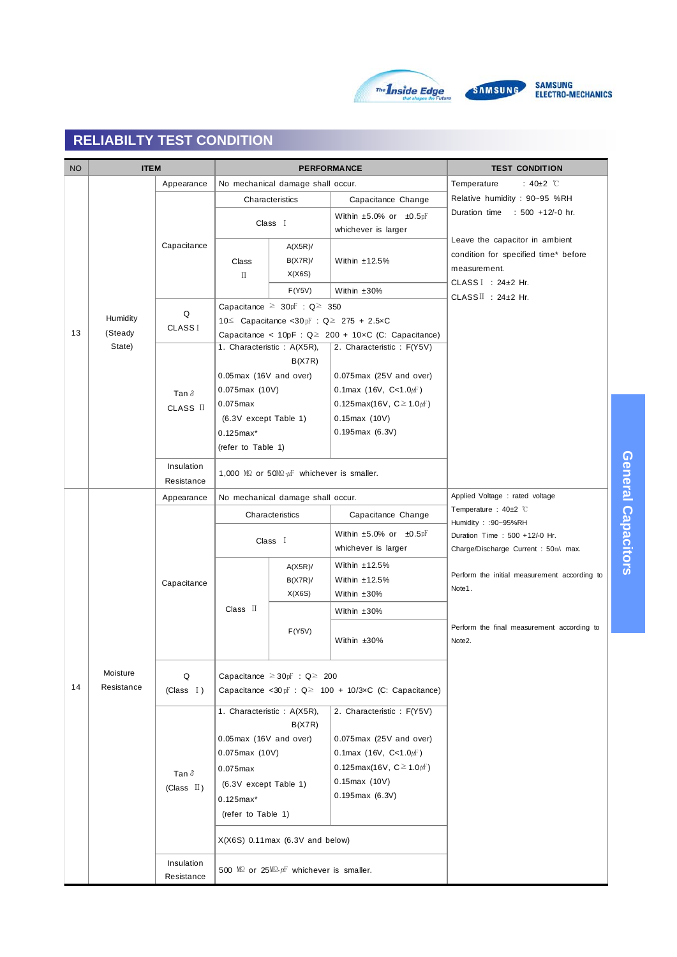



**General Capacitors**

General Capacitors

| <b>NO</b> | <b>ITEM</b> |                          |                                                    |                                                                   | <b>PERFORMANCE</b>                                                | <b>TEST CONDITION</b>                                                                  |  |  |  |  |
|-----------|-------------|--------------------------|----------------------------------------------------|-------------------------------------------------------------------|-------------------------------------------------------------------|----------------------------------------------------------------------------------------|--|--|--|--|
|           | Appearance  |                          |                                                    | No mechanical damage shall occur.                                 |                                                                   | : 40 $\pm$ 2 $\degree$ C<br>Temperature                                                |  |  |  |  |
|           |             |                          |                                                    | Characteristics                                                   | Capacitance Change                                                | Relative humidity : 90~95 %RH                                                          |  |  |  |  |
|           |             |                          |                                                    |                                                                   | Within $\pm 5.0\%$ or $\pm 0.5$ pF                                | Duration time<br>: 500 +12/-0 hr.                                                      |  |  |  |  |
|           |             | Capacitance              |                                                    | Class I                                                           | whichever is larger                                               |                                                                                        |  |  |  |  |
|           |             |                          |                                                    | $A(X5R)$ /                                                        |                                                                   | Leave the capacitor in ambient<br>condition for specified time* before<br>measurement. |  |  |  |  |
|           |             |                          | Class                                              | $B(X7R)$ /                                                        | Within $±12.5%$                                                   |                                                                                        |  |  |  |  |
|           |             |                          | $\scriptstyle\rm II$                               | X(X6S)                                                            |                                                                   | CLASS $I : 24 \pm 2$ Hr.<br>CLASSII : 24±2 Hr.                                         |  |  |  |  |
|           |             |                          |                                                    | F(Y5V)                                                            | Within $±30%$                                                     |                                                                                        |  |  |  |  |
|           |             | Q                        | Capacitance $\geq 30$ <sub>pF</sub> : Q $\geq 350$ |                                                                   |                                                                   |                                                                                        |  |  |  |  |
|           | Humidity    | <b>CLASSI</b>            |                                                    |                                                                   | 10≤ Capacitance <30pF : $Q$ ≥ 275 + 2.5×C                         |                                                                                        |  |  |  |  |
| 13        | (Steady     |                          |                                                    |                                                                   | Capacitance < $10pF : Q \ge 200 + 10 \times C$ (C: Capacitance)   |                                                                                        |  |  |  |  |
|           | State)      |                          |                                                    | 1. Characteristic: A(X5R),                                        | 2. Characteristic: F(Y5V)                                         |                                                                                        |  |  |  |  |
|           |             |                          |                                                    | B(X7R)                                                            |                                                                   |                                                                                        |  |  |  |  |
|           |             |                          | $0.05$ max (16V and over)                          |                                                                   | $0.075$ max (25V and over)                                        |                                                                                        |  |  |  |  |
|           |             | Tan $\delta$             | $0.075$ max (10V)                                  |                                                                   | 0.1 max $(16V, C<1.0 \mu F)$                                      |                                                                                        |  |  |  |  |
|           |             | CLASS II                 | $0.075$ max<br>(6.3V except Table 1)               |                                                                   | 0.125max(16V, $C \ge 1.0 \mu$ F)<br>$0.15$ max (10V)              |                                                                                        |  |  |  |  |
|           |             |                          |                                                    |                                                                   | $0.195$ max $(6.3V)$                                              |                                                                                        |  |  |  |  |
|           |             |                          | $0.125$ max*                                       |                                                                   |                                                                   |                                                                                        |  |  |  |  |
|           |             |                          | (refer to Table 1)                                 |                                                                   |                                                                   |                                                                                        |  |  |  |  |
|           |             | Insulation               |                                                    | 1,000 MQ or 50MQ $\mu$ F whichever is smaller.                    |                                                                   |                                                                                        |  |  |  |  |
|           |             | Resistance               |                                                    |                                                                   |                                                                   |                                                                                        |  |  |  |  |
|           |             | Appearance               |                                                    | No mechanical damage shall occur.                                 |                                                                   | Applied Voltage : rated voltage                                                        |  |  |  |  |
|           |             |                          |                                                    | Characteristics                                                   | Capacitance Change                                                | Temperature: 40±2 ℃<br>Humidity: : 90~95%RH                                            |  |  |  |  |
|           |             | Capacitance              |                                                    |                                                                   | Within $\pm 5.0\%$ or $\pm 0.5$ pF                                | Duration Time: 500 +12/-0 Hr.                                                          |  |  |  |  |
|           |             |                          |                                                    | Class I                                                           | whichever is larger                                               | Charge/Discharge Current: 50mA max.                                                    |  |  |  |  |
|           |             |                          |                                                    | $A(X5R)$ /                                                        | Within $±12.5%$                                                   |                                                                                        |  |  |  |  |
|           |             |                          |                                                    | $B(X7R)$ /                                                        | Within $±12.5%$                                                   | Perform the initial measurement according to                                           |  |  |  |  |
|           |             |                          |                                                    | X(X6S)                                                            | Within $±30\%$                                                    | Note1.                                                                                 |  |  |  |  |
|           |             |                          | Class $\Pi$                                        |                                                                   | Within $±30\%$                                                    |                                                                                        |  |  |  |  |
|           |             |                          |                                                    |                                                                   |                                                                   | Perform the final measurement according to                                             |  |  |  |  |
|           |             |                          |                                                    | F(Y5V)                                                            | Within ±30%                                                       | Note2.                                                                                 |  |  |  |  |
|           |             |                          |                                                    |                                                                   |                                                                   |                                                                                        |  |  |  |  |
|           | Moisture    | Q                        |                                                    | Capacitance $\geq 30$ $F : Q \geq 200$                            |                                                                   |                                                                                        |  |  |  |  |
| 14        | Resistance  | (Class I)                |                                                    |                                                                   | Capacitance <30 $pF : Q \ge 100 + 10/3 \times C$ (C: Capacitance) |                                                                                        |  |  |  |  |
|           |             |                          |                                                    |                                                                   |                                                                   |                                                                                        |  |  |  |  |
|           |             |                          |                                                    | 1. Characteristic: A(X5R),                                        | 2. Characteristic: F(Y5V)                                         |                                                                                        |  |  |  |  |
|           |             |                          |                                                    | B(X7R)                                                            | $0.075$ max (25V and over)                                        |                                                                                        |  |  |  |  |
|           |             |                          | $0.05$ max (16V and over)<br>$0.075$ max (10V)     |                                                                   | 0.1 max $(16V, C<1.0 \mu F)$                                      |                                                                                        |  |  |  |  |
|           |             |                          |                                                    |                                                                   | 0.125max(16V, $C \ge 1.0 \mu$ F)                                  |                                                                                        |  |  |  |  |
|           |             | Tan $\delta$             | $0.075$ max                                        |                                                                   | $0.15$ max (10V)                                                  |                                                                                        |  |  |  |  |
|           |             | (Class $\mathbb{I}$ )    | (6.3V except Table 1)                              |                                                                   | $0.195$ max $(6.3V)$                                              |                                                                                        |  |  |  |  |
|           |             |                          | $0.125$ max*                                       |                                                                   |                                                                   |                                                                                        |  |  |  |  |
|           |             |                          | (refer to Table 1)                                 |                                                                   |                                                                   |                                                                                        |  |  |  |  |
|           |             |                          |                                                    | $X(X6S)$ 0.11 max $(6.3V)$ and below)                             |                                                                   |                                                                                        |  |  |  |  |
|           |             | Insulation<br>Resistance |                                                    | 500 $\text{MS}$ or 25 $\text{MS} \cdot \mu$ whichever is smaller. |                                                                   |                                                                                        |  |  |  |  |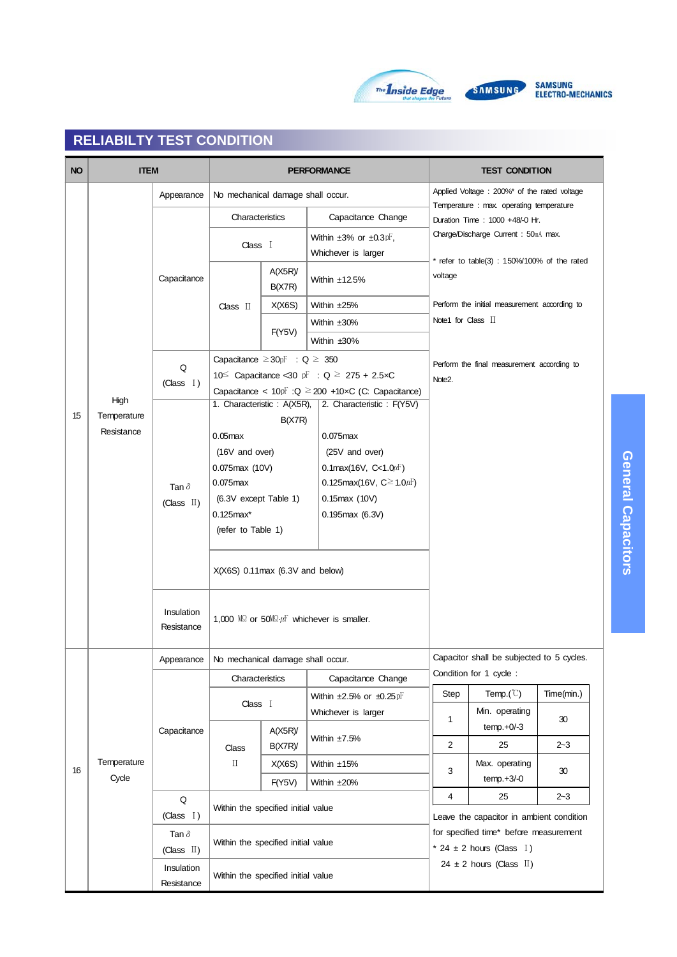



| <b>NO</b> | <b>ITEM</b> |                          |                                                         |                      |  | <b>PERFORMANCE</b>                                         | <b>TEST CONDITION</b>               |                                                                            |            |  |
|-----------|-------------|--------------------------|---------------------------------------------------------|----------------------|--|------------------------------------------------------------|-------------------------------------|----------------------------------------------------------------------------|------------|--|
|           |             | Appearance               | No mechanical damage shall occur.                       |                      |  |                                                            |                                     | Applied Voltage: 200%* of the rated voltage                                |            |  |
|           |             |                          | Characteristics                                         |                      |  | Capacitance Change                                         |                                     | Temperature : max. operating temperature<br>Duration Time: 1000 +48/-0 Hr. |            |  |
|           |             |                          | Class I                                                 |                      |  | Within $\pm 3\%$ or $\pm 0.3$ pF,                          | Charge/Discharge Current: 50mA max. |                                                                            |            |  |
|           |             |                          |                                                         |                      |  | Whichever is larger                                        |                                     | * refer to table(3) : $150\%/100\%$ of the rated                           |            |  |
|           |             | Capacitance              |                                                         | A(X5R)<br>B(X7R)     |  | Within $±12.5%$                                            | voltage                             |                                                                            |            |  |
|           |             |                          | Class II                                                | X(X6S)               |  | Within ±25%                                                |                                     | Perform the initial measurement according to                               |            |  |
|           |             |                          |                                                         |                      |  | Within ±30%                                                |                                     | Note1 for Class $\mathbb I$                                                |            |  |
|           |             |                          |                                                         | F(Y5V)               |  | Within ±30%                                                |                                     |                                                                            |            |  |
|           |             | Q                        | Capacitance $\geq 30$ <sub>p</sub> F : Q $\geq 350$     |                      |  |                                                            |                                     | Perform the final measurement according to                                 |            |  |
|           |             | (Class I)                |                                                         |                      |  | 10 $\leq$ Capacitance < 30 pF : Q $\geq$ 275 + 2.5xC       | Note <sub>2</sub> .                 |                                                                            |            |  |
|           | High        |                          |                                                         |                      |  | Capacitance < $10pF$ : Q $\geq$ 200 +10xC (C: Capacitance) |                                     |                                                                            |            |  |
| 15        | Temperature |                          | 1. Characteristic: A(X5R),                              |                      |  | 2. Characteristic: F(Y5V)                                  |                                     |                                                                            |            |  |
|           | Resistance  |                          |                                                         | B(X7R)               |  | $0.075$ max                                                |                                     |                                                                            |            |  |
|           |             |                          | $0.05$ max                                              |                      |  | (25V and over)                                             |                                     |                                                                            |            |  |
|           |             |                          | (16V and over)<br>$0.075$ max (10V)                     |                      |  | 0.1 max $(16V, C<1.0 \mu F)$                               |                                     |                                                                            |            |  |
|           |             |                          | $0.075$ max<br>(6.3V except Table 1)<br>$0.125$ max $*$ |                      |  | 0.125max(16V, $C \ge 1.0 \mu F$ )                          |                                     |                                                                            |            |  |
|           |             | Tan $\delta$             |                                                         |                      |  | $0.15$ max $(10V)$                                         |                                     |                                                                            |            |  |
|           |             | (Class $\mathbb{I}$ )    |                                                         |                      |  | $0.195$ max $(6.3V)$                                       |                                     |                                                                            |            |  |
|           |             |                          | (refer to Table 1)                                      |                      |  |                                                            |                                     |                                                                            |            |  |
|           |             |                          |                                                         |                      |  |                                                            |                                     |                                                                            |            |  |
|           |             |                          | $X(X6S)$ 0.11 max (6.3V and below)                      |                      |  |                                                            |                                     |                                                                            |            |  |
|           |             | Insulation<br>Resistance |                                                         |                      |  | 1,000 M2 or 50M2. $\mu$ F whichever is smaller.            |                                     |                                                                            |            |  |
|           |             | Appearance               | No mechanical damage shall occur.                       |                      |  |                                                            |                                     | Capacitor shall be subjected to 5 cycles.                                  |            |  |
|           |             |                          | Characteristics                                         |                      |  | Capacitance Change                                         |                                     | Condition for 1 cycle:                                                     |            |  |
|           |             |                          | Class I                                                 |                      |  | Within $\pm 2.5\%$ or $\pm 0.25$ pF                        | Step                                | Temp. $(\mathbb{C})$                                                       | Time(min.) |  |
|           |             |                          |                                                         |                      |  | Whichever is larger                                        | 1                                   | Min. operating                                                             | 30         |  |
|           |             | Capacitance              |                                                         | $A(X5R)$ /<br>B(X7R) |  | Within ±7.5%                                               | $\overline{2}$                      | $temp.+0/-3$<br>25                                                         | $2 - 3$    |  |
|           | Temperature |                          | Class<br>$\rm \Pi$                                      | X(X6S)               |  | Within ±15%                                                |                                     | Max. operating                                                             |            |  |
| 16        | Cycle       |                          |                                                         |                      |  |                                                            | 3                                   | $temp.+3/-0$                                                               | 30         |  |
|           |             | Q                        |                                                         | F(Y5V)               |  | Within ±20%                                                | 4                                   | 25                                                                         | $2 - 3$    |  |
|           |             | (Class I)                | Within the specified initial value                      |                      |  |                                                            |                                     | Leave the capacitor in ambient condition                                   |            |  |
|           |             |                          |                                                         |                      |  |                                                            |                                     | for specified time* before measurement                                     |            |  |
|           |             | Tan $\delta$             | Within the specified initial value                      |                      |  |                                                            |                                     | * 24 $\pm$ 2 hours (Class I)                                               |            |  |
|           |             | (Class $\mathbb{I}$ )    |                                                         |                      |  |                                                            |                                     | 24 $\pm$ 2 hours (Class II)                                                |            |  |
|           |             | Insulation<br>Resistance | Within the specified initial value                      |                      |  |                                                            |                                     |                                                                            |            |  |
|           |             |                          |                                                         |                      |  |                                                            |                                     |                                                                            |            |  |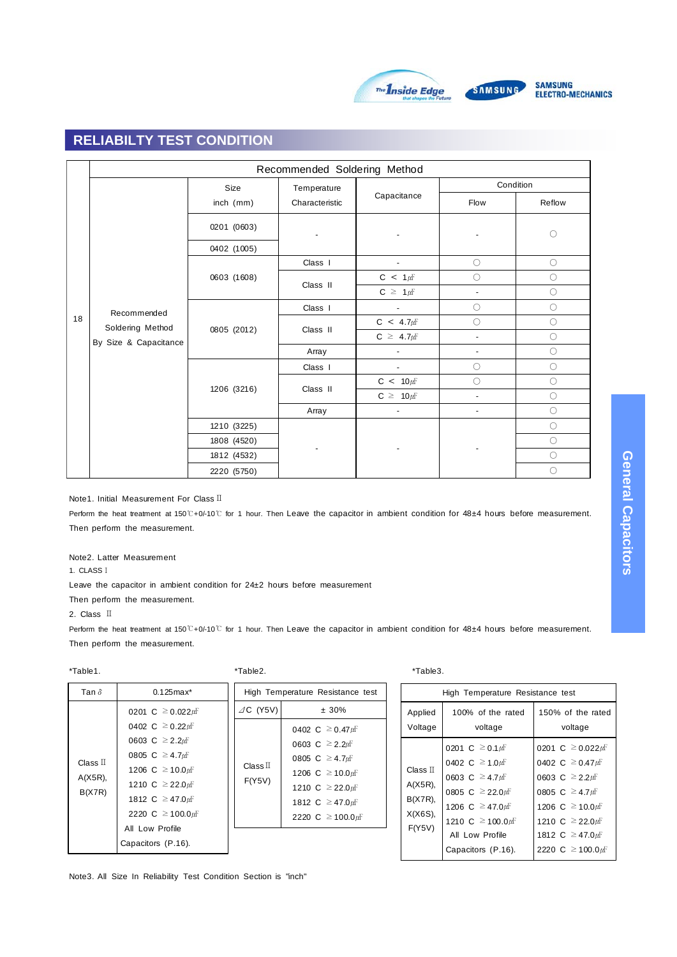

SAMSUNG<br>ELECTRO-MECHANICS

# **RELIABILTY TEST CONDITION**

|    |                       |             | Recommended Soldering Method |                          |                              |                     |
|----|-----------------------|-------------|------------------------------|--------------------------|------------------------------|---------------------|
|    |                       | Size        | Temperature                  |                          | Condition                    |                     |
|    |                       | inch (mm)   | Characteristic               | Capacitance              | Flow                         | Reflow              |
|    |                       | 0201 (0603) |                              |                          |                              | $\circlearrowright$ |
|    |                       | 0402 (1005) |                              |                          |                              |                     |
|    |                       |             | Class I                      | $\overline{\phantom{a}}$ | $\circ$                      | $\circ$             |
|    |                       | 0603 (1608) | Class II                     | $C < 1 \mu F$            | $\circ$                      | $\bigcirc$          |
|    |                       |             |                              | $C \geq 1 \mu F$         | ٠                            | $\bigcirc$          |
|    | Recommended           |             | Class I                      | ÷,                       | $\circ$                      | $\circlearrowright$ |
| 18 | Soldering Method      | 0805 (2012) | Class II                     | $C \leq 4.7 \mu F$       | $\bigcirc$                   | $\circ$             |
|    | By Size & Capacitance |             |                              | $C \geq 4.7 \mu F$       | $\qquad \qquad \blacksquare$ | $\circ$             |
|    |                       |             | Array                        |                          | $\overline{\phantom{a}}$     | $\circ$             |
|    |                       |             | Class I                      | $\overline{\phantom{a}}$ | $\bigcirc$                   | $\bigcirc$          |
|    |                       |             | Class II                     | $C \leq 10 \mu F$        | $\circ$                      | $\bigcirc$          |
|    |                       | 1206 (3216) |                              | $C \geq 10 \mu F$        | ä,                           | $\circ$             |
|    |                       |             | Array                        | $\overline{\phantom{a}}$ | $\overline{\phantom{a}}$     | $\circ$             |
|    |                       | 1210 (3225) |                              |                          |                              | $\circ$             |
|    |                       | 1808 (4520) |                              |                          |                              | $\bigcirc$          |
|    |                       | 1812 (4532) |                              |                          |                              | $\bigcirc$          |
|    |                       | 2220 (5750) |                              |                          |                              | $\bigcirc$          |

Note1. Initial Measurement For Class Ⅱ

Perform the heat treatment at 150℃+0/-10℃ for 1 hour. Then Leave the capacitor in ambient condition for 48±4 hours before measurement. Then perform the measurement.

#### Note2. Latter Measurement

1. CLASSⅠ

Leave the capacitor in ambient condition for 24±2 hours before measurement

Then perform the measurement.

2. Class Ⅱ

Perform the heat treatment at 150℃+0/-10℃ for 1 hour. Then Leave the capacitor in ambient condition for 48±4 hours before measurement. Then perform the measurement.

| Tan $\delta$                    | $0.125$ max <sup>*</sup>                                                                                                                                                                                                                                |
|---------------------------------|---------------------------------------------------------------------------------------------------------------------------------------------------------------------------------------------------------------------------------------------------------|
| Class I<br>$A(X5R)$ ,<br>B(X7R) | 0201 C $\geq$ 0.022 $\mu$ F<br>0402 C $\geq 0.22 \mu$ F<br>0603 C $\geq$ 2.2 <i>u</i> F<br>0805 C $\geq 4.7 \mu$ F<br>1206 C $\geq 10.0 \mu$ F<br>1210 C $\geq$ 22.0 $\mu$ F<br>1812 C $\geq 47.0$ $\mu$ F<br>2220 C ≥ 100.0 $\mu$ F<br>All Low Profile |
|                                 | Capacitors (P.16).                                                                                                                                                                                                                                      |

\*Table1. \*Table2. \*Table3.

| $\angle$ C (Y5V)      | ± 30%                                                                                                                                                                                               |
|-----------------------|-----------------------------------------------------------------------------------------------------------------------------------------------------------------------------------------------------|
| Class $\Pi$<br>F(Y5V) | 0402 C $\geq$ 0.47 $\mu$ F<br>0603 C $\geq$ 2.2 $\mu$ F<br>0805 C $\geq 4.7 \mu$ F<br>1206 C $\geq 10.0 \mu$ F<br>1210 C $\geq$ 22.0 $\mu$ F<br>1812 C $\geq$ 47.0 $\mu$ F<br>2220 C $\geq$ 100.0µF |
|                       |                                                                                                                                                                                                     |
|                       |                                                                                                                                                                                                     |

High Temperature Resistance test

|                                                                 | High Temperature Resistance test                                                                                                                                                                              |                                                                                                                                                                                                                                        |  |  |  |  |  |  |  |  |  |  |  |
|-----------------------------------------------------------------|---------------------------------------------------------------------------------------------------------------------------------------------------------------------------------------------------------------|----------------------------------------------------------------------------------------------------------------------------------------------------------------------------------------------------------------------------------------|--|--|--|--|--|--|--|--|--|--|--|
| Applied<br>Voltage                                              | 100% of the rated<br>voltage                                                                                                                                                                                  | 150% of the rated<br>voltage                                                                                                                                                                                                           |  |  |  |  |  |  |  |  |  |  |  |
| Class $\Pi$<br>$A(X5R)$ ,<br>$B(X7R)$ ,<br>$X(X6S)$ ,<br>F(Y5V) | 0201 C $\geq$ 0.1 $\mu$ F<br>0402 C $\geq 1.0 \mu$ F<br>0603 C $\geq 4.7 \mu$ F<br>0805 C $\geq$ 22.0 $\mu$ F<br>1206 C $\geq$ 47.0 $\mu$ F<br>1210 C $\geq$ 100.0µF<br>All Low Profile<br>Capacitors (P.16). | 0201 C $\geq$ 0.022 $\mu$ F<br>0402 C $\geq$ 0.47 $\mu$ F<br>0603 C $\geq$ 2.2 $\mu$ F<br>0805 C $\geq 4.7 \mu$ F<br>1206 C $\geq 10.0 \mu$ F<br>1210 C $\geq$ 22.0 $\mu$ F<br>1812 C $\geq$ 47.0 $\mu$ F<br>2220 C $\geq 100.0 \mu$ F |  |  |  |  |  |  |  |  |  |  |  |

Note3. All Size In Reliability Test Condition Section is "inch"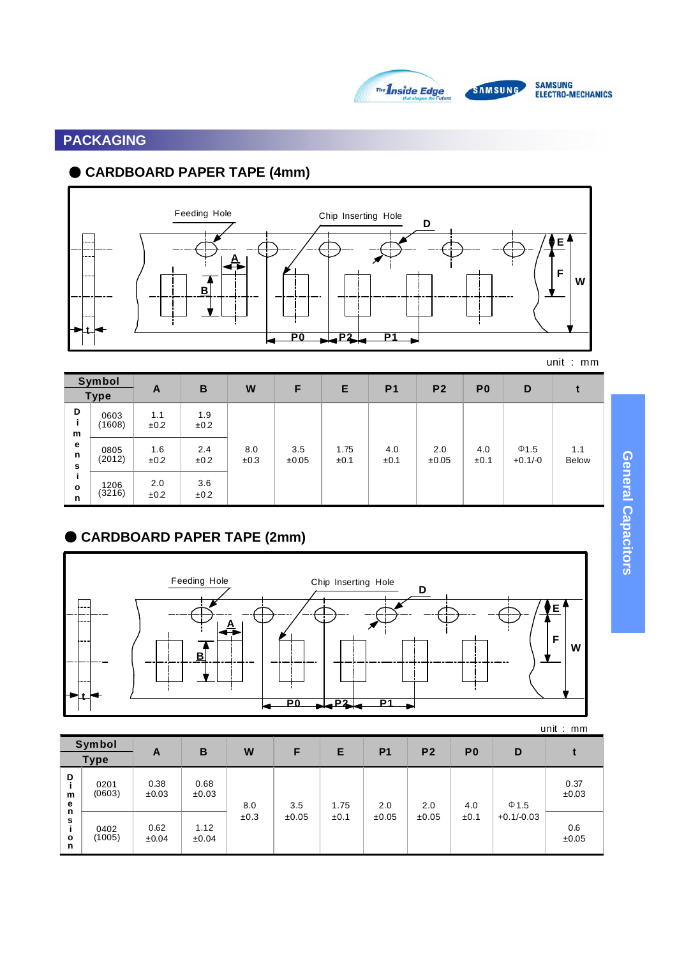

# SAMSUNG<br>Electro-mechanics

# **PACKAGING**

# ● **CARDBOARD PAPER TAPE (4mm)**



| Symbol<br><b>Type</b> |                | A           | B           | W           | F            | Е            | P <sub>1</sub> | P <sub>2</sub> | P <sub>0</sub> | D                       |                     |
|-----------------------|----------------|-------------|-------------|-------------|--------------|--------------|----------------|----------------|----------------|-------------------------|---------------------|
| D<br>m                | 0603<br>(1608) | 1.1<br>±0.2 | 1.9<br>±0.2 |             |              |              |                |                |                |                         |                     |
| e<br>n<br>s           | 0805<br>(2012) | 1.6<br>±0.2 | 2.4<br>±0.2 | 8.0<br>±0.3 | 3.5<br>±0.05 | 1.75<br>±0.1 | 4.0<br>±0.1    | 2.0<br>±0.05   | 4.0<br>±0.1    | $\Phi$ 1.5<br>$+0.1/-0$ | 1.1<br><b>Below</b> |
| $\circ$<br>n          | 1206<br>(3216) | 2.0<br>±0.2 | 3.6<br>±0.2 |             |              |              |                |                |                |                         |                     |

# ● **CARDBOARD PAPER TAPE (2mm)**



| $UIII.$ . $IIIIII.$                       |                |               |               |      |              |              |              |                |                |                            |               |  |
|-------------------------------------------|----------------|---------------|---------------|------|--------------|--------------|--------------|----------------|----------------|----------------------------|---------------|--|
| Symbol<br><b>Type</b>                     |                | A             | B             | W    | F            | E            | <b>P1</b>    | P <sub>2</sub> | P <sub>0</sub> | D                          |               |  |
| D<br>m<br>е<br>n<br>s<br>$\mathbf o$<br>n | 0201<br>(0603) | 0.38<br>±0.03 | 0.68<br>±0.03 | 8.0  | 3.5<br>±0.05 | 1.75<br>±0.1 | 2.0<br>±0.05 | 2.0<br>±0.05   | 4.0<br>±0.1    | $\Phi$ 1.5<br>$+0.1/-0.03$ | 0.37<br>±0.03 |  |
|                                           | 0402<br>(1005) | 0.62<br>±0.04 | 1.12<br>±0.04 | ±0.3 |              |              |              |                |                |                            | 0.6<br>±0.05  |  |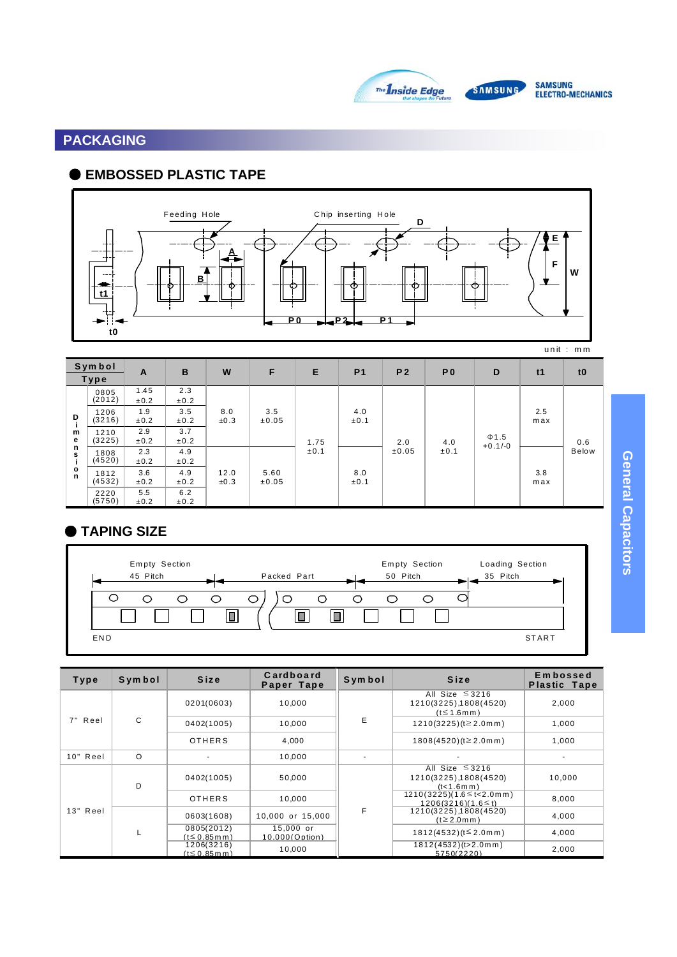

SAMSUNG<br>Electro-mechanics

# **PACKAGING**

# ● **EMBOSSED PLASTIC TAPE**



| <b>Symbol</b><br>Type  |                | A            | B           | W            | F                 | Е    | P <sub>1</sub> | P <sub>2</sub> | P <sub>0</sub> | D                       | t1         | t <sub>0</sub> |
|------------------------|----------------|--------------|-------------|--------------|-------------------|------|----------------|----------------|----------------|-------------------------|------------|----------------|
|                        | 0805<br>(2012) | 1.45<br>±0.2 | 2.3<br>±0.2 |              |                   |      |                |                |                |                         |            |                |
| D                      | 1206<br>(3216) | 1.9<br>±0.2  | 3.5<br>±0.2 | 8.0<br>±0.3  | 3.5<br>$\pm 0.05$ |      | 4.0<br>±0.1    |                |                |                         | 2.5<br>max |                |
| m<br>е                 | 1210<br>(3225) | 2.9<br>±0.2  | 3.7<br>±0.2 |              |                   | 1.75 |                | 2.0            | 4.0            | $\Phi$ 1.5<br>$+0.1/-0$ |            | 0.6            |
| n<br>s                 | 1808<br>(4520) | 2.3<br>±0.2  | 4.9<br>±0.2 |              |                   | ±0.1 |                | ±0.05          | ±0.1           |                         |            | <b>Below</b>   |
| $\circ$<br>$\mathbf n$ | 1812<br>(4532) | 3.6<br>±0.2  | 4.9<br>±0.2 | 12.0<br>±0.3 | 5.60<br>±0.05     |      | 8.0<br>±0.1    |                |                |                         | 3.8<br>max |                |
|                        | 2220<br>(5750) | 5.5<br>±0.2  | 6.2<br>±0.2 |              |                   |      |                |                |                |                         |            |                |

# ● **TAPING SIZE**



| Type     | Symbol   | Size                             | Cardboard<br>Paper Tape       | <b>Symbol</b> | <b>Size</b>                                                            | <b>Embossed</b><br><b>Plastic Tape</b> |
|----------|----------|----------------------------------|-------------------------------|---------------|------------------------------------------------------------------------|----------------------------------------|
| 7" Reel  |          | 0201(0603)                       | 10,000                        |               | All Size $\leq$ 3216<br>1210(3225), 1808(4520)<br>$(t \leq 1.6$ mm $)$ | 2,000                                  |
|          | C        | 0402(1005)                       | 10,000                        | E             | $1210(3225)(t \ge 2.0 \text{ m})$                                      | 1,000                                  |
|          |          | <b>OTHERS</b>                    | 4.000                         |               | $1808(4520)(t \ge 2.0 \text{m m})$                                     | 1,000                                  |
| 10" Reel | $\Omega$ |                                  | 10,000                        |               |                                                                        |                                        |
|          | D        | 0402(1005)                       | 50,000                        |               | All Size $\leq$ 3216<br>1210(3225), 1808(4520)<br>(t<1.6m m)           | 10,000                                 |
|          |          | <b>OTHERS</b>                    | 10,000                        |               | $1210(3225)(1.6 \leq t < 2.0$ mm)<br>$1206(3216)(1.6 \le t)$           | 8,000<br>4.000<br>4,000<br>2,000       |
| 13" Reel |          | 0603(1608)                       | 10,000 or 15,000              | F             | 1210(3225), 1808(4520)<br>$(t \ge 2.0$ m m)                            |                                        |
|          |          | 0805(2012)<br>$(t \le 0.85$ m m) | $15,000$ or<br>10,000(Option) |               | $1812(4532)(t \leq 2.0$ m m)                                           |                                        |
|          |          | 1206(3216)<br>$(t \le 0.85$ m m) | 10,000                        |               | 1812(4532)(t>2.0mm)<br>5750(2220)                                      |                                        |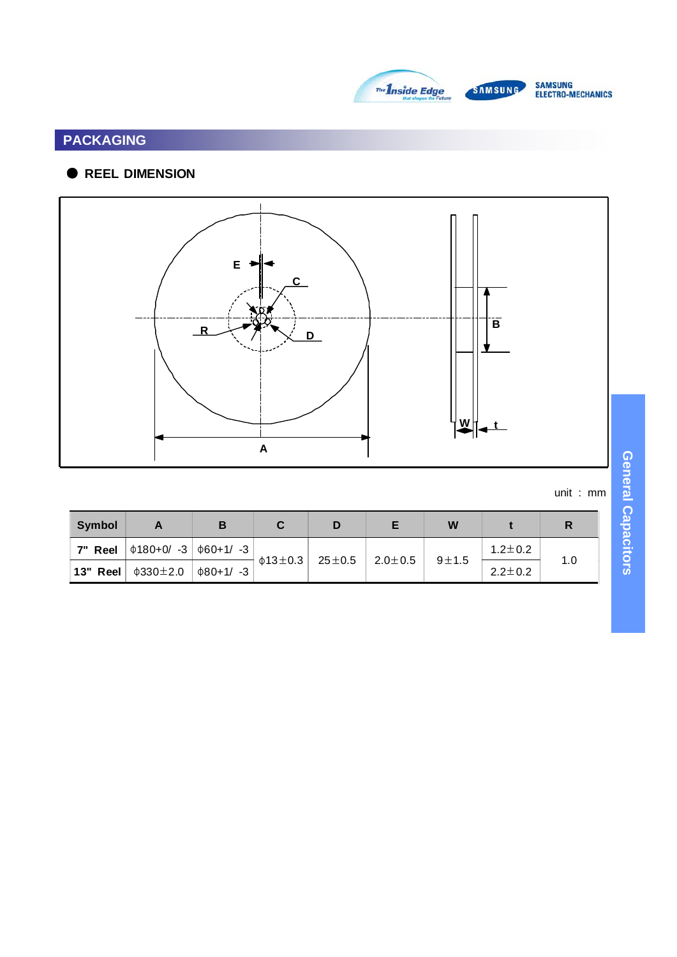



# **PACKAGING**

# ● **REEL DIMENSION**



unit : mm

| <b>Symbol</b> |                                              | в |                     |              |             | W         |               | R   |
|---------------|----------------------------------------------|---|---------------------|--------------|-------------|-----------|---------------|-----|
| 7" Reel       | $ $ $\phi$ 180+0/ -3 $ $ $\phi$ 60+1/ -3 $ $ |   |                     |              |             |           | $1.2 \pm 0.2$ |     |
| 13" Reel      | $\phi$ 330 $\pm$ 2.0                         |   | $\phi$ 13 $\pm$ 0.3 | 25 $\pm$ 0.5 | $2.0\pm0.5$ | $9\pm1.5$ | $2.2 \pm 0.2$ | 1.0 |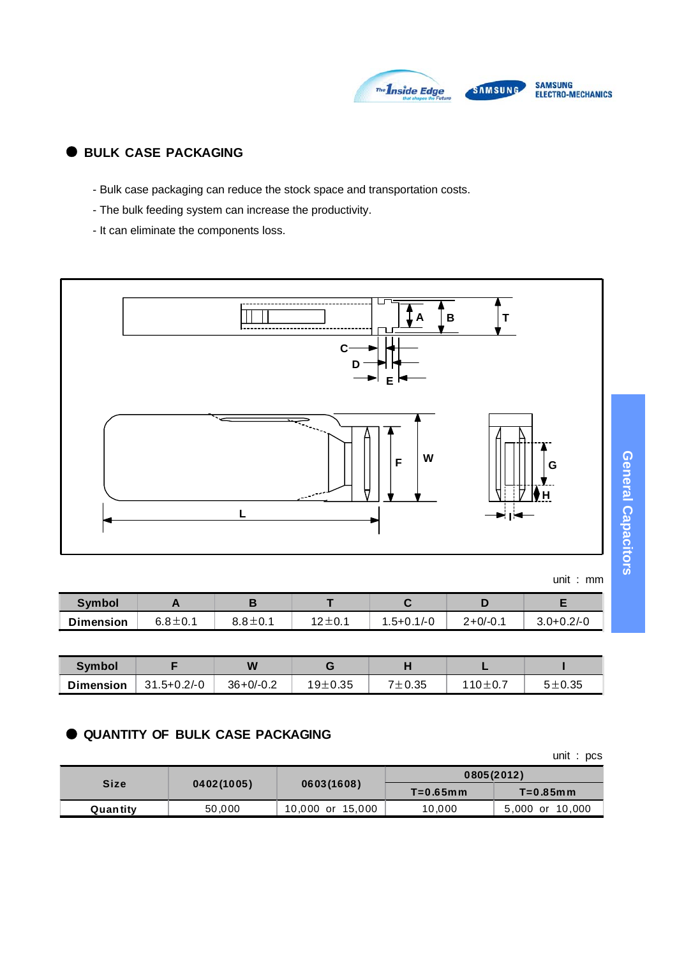

## ● **BULK CASE PACKAGING**

- Bulk case packaging can reduce the stock space and transportation costs.
- The bulk feeding system can increase the productivity.
- It can eliminate the components loss.



unit : mm

| <b>Symbol</b>    |               | ъ<br>E        |              |                |            |                  |
|------------------|---------------|---------------|--------------|----------------|------------|------------------|
| <b>Dimension</b> | $6.8 \pm 0.1$ | $8.8 \pm 0.1$ | $12 \pm 0.1$ | $1.5 + 0.1/-0$ | $2+0/-0.1$ | $3.0 + 0.2 / -0$ |

| Symbol           |                 | W             |         |            |         |            |
|------------------|-----------------|---------------|---------|------------|---------|------------|
| <b>Dimension</b> | $31.5 + 0.2/-0$ | $36 + 0/-0.2$ | 19±0.35 | $7 + 0.35$ | 110±0.7 | $5 + 0.35$ |

#### ● **QUANTITY OF BULK CASE PACKAGING**

unit : pcs

|          |            |                  | 0805(2012)<br>$T=0.65$ mm<br>$T=0.85$ mm |                 |
|----------|------------|------------------|------------------------------------------|-----------------|
| Size     | 0402(1005) | 0603(1608)       |                                          |                 |
| Quantity | 50,000     | 10,000 or 15,000 | 10,000                                   | 5,000 or 10,000 |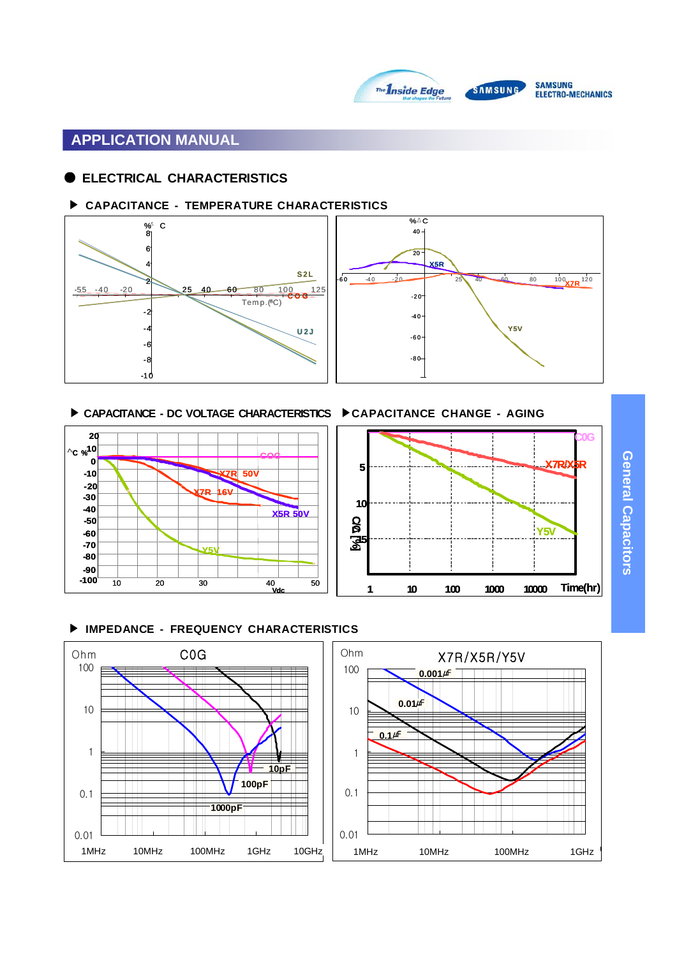

# **APPLICATION MANUAL**

#### ● **ELECTRICAL CHARACTERISTICS**

#### ▶ **CAPACITANCE - TEMPERATURE CHARACTERISTICS**



▶ CAPACITANCE - DC VOLTAGE CHARACTERISTICS ▶ CAPACITANCE CHANGE - AGING





#### ▶ **IMPEDANCE - FREQUENCY CHARACTERISTICS**

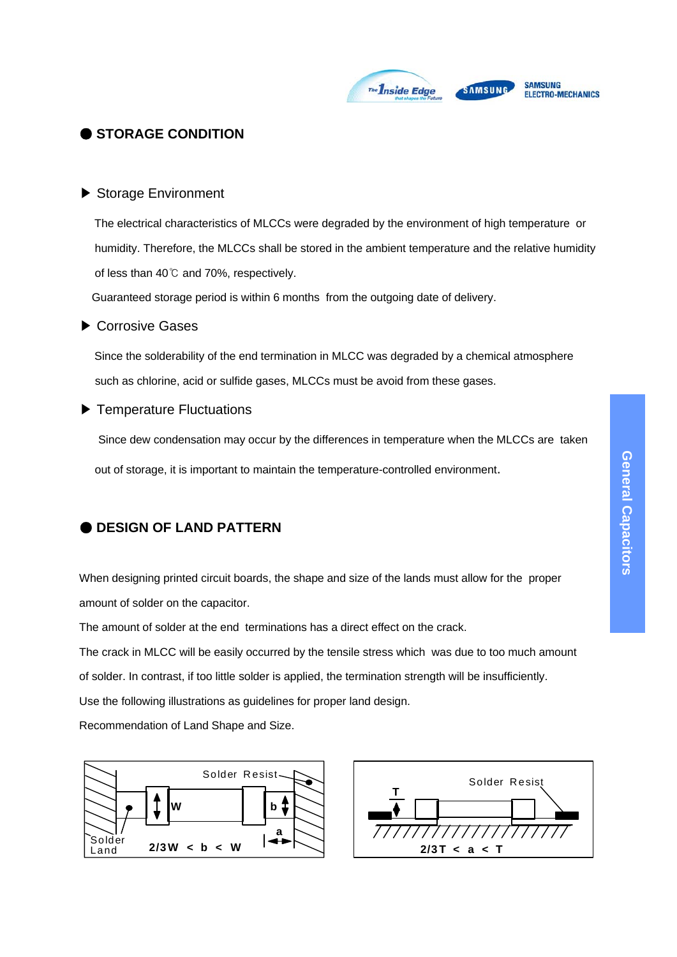

## ● **STORAGE CONDITION**

#### ▶ Storage Environment

The electrical characteristics of MLCCs were degraded by the environment of high temperature or humidity. Therefore, the MLCCs shall be stored in the ambient temperature and the relative humidity of less than 40℃ and 70%, respectively.

Guaranteed storage period is within 6 months from the outgoing date of delivery.

#### ▶ Corrosive Gases

Since the solderability of the end termination in MLCC was degraded by a chemical atmosphere such as chlorine, acid or sulfide gases, MLCCs must be avoid from these gases.

#### ▶ Temperature Fluctuations

Since dew condensation may occur by the differences in temperature when the MLCCs are taken out of storage, it is important to maintain the temperature-controlled environment.

## ● **DESIGN OF LAND PATTERN**

When designing printed circuit boards, the shape and size of the lands must allow for the proper amount of solder on the capacitor.

The amount of solder at the end terminations has a direct effect on the crack.

The crack in MLCC will be easily occurred by the tensile stress which was due to too much amount

of solder. In contrast, if too little solder is applied, the termination strength will be insufficiently.

Use the following illustrations as guidelines for proper land design.

Recommendation of Land Shape and Size.



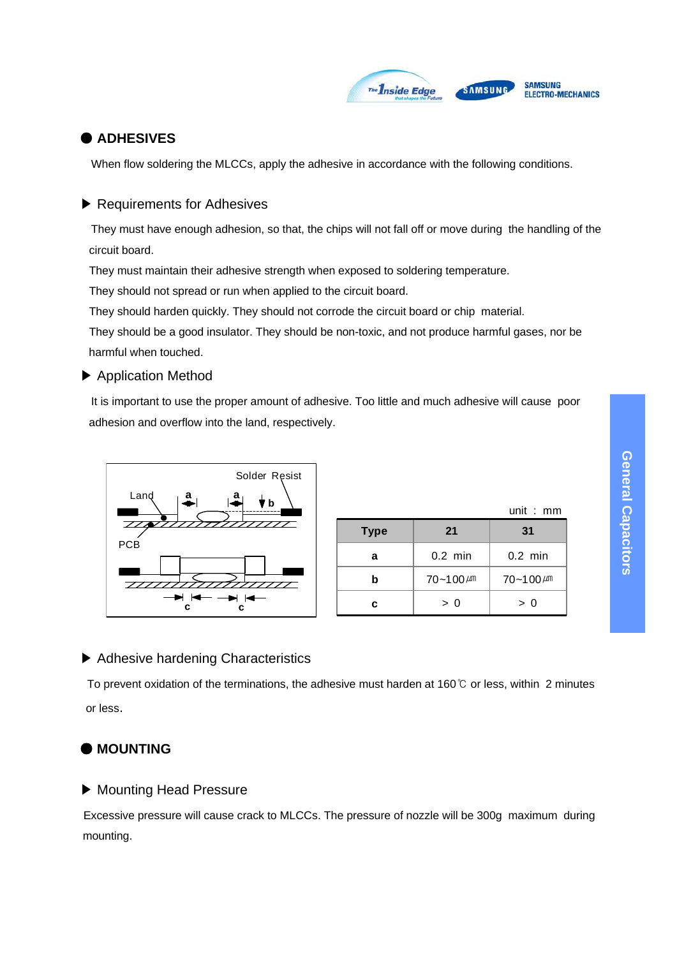

### ● **ADHESIVES**

When flow soldering the MLCCs, apply the adhesive in accordance with the following conditions.

#### ▶ Requirements for Adhesives

They must have enough adhesion, so that, the chips will not fall off or move during the handling of the circuit board.

They must maintain their adhesive strength when exposed to soldering temperature.

They should not spread or run when applied to the circuit board.

They should harden quickly. They should not corrode the circuit board or chip material.

They should be a good insulator. They should be non-toxic, and not produce harmful gases, nor be harmful when touched.

#### ▶ Application Method

It is important to use the proper amount of adhesive. Too little and much adhesive will cause poor adhesion and overflow into the land, respectively.



|             |                  | .<br>.           |
|-------------|------------------|------------------|
| <b>Type</b> | 21               | 31               |
| a           | $0.2$ min        | $0.2$ min        |
| b           | $70 - 100 \mu m$ | $70 - 100 \mu m$ |
| c           | > 0              | > 0              |

unit : mm

## ▶ Adhesive hardening Characteristics

To prevent oxidation of the terminations, the adhesive must harden at 160℃ or less, within 2 minutes or less.

## ● **MOUNTING**

#### ▶ Mounting Head Pressure

Excessive pressure will cause crack to MLCCs. The pressure of nozzle will be 300g maximum during mounting.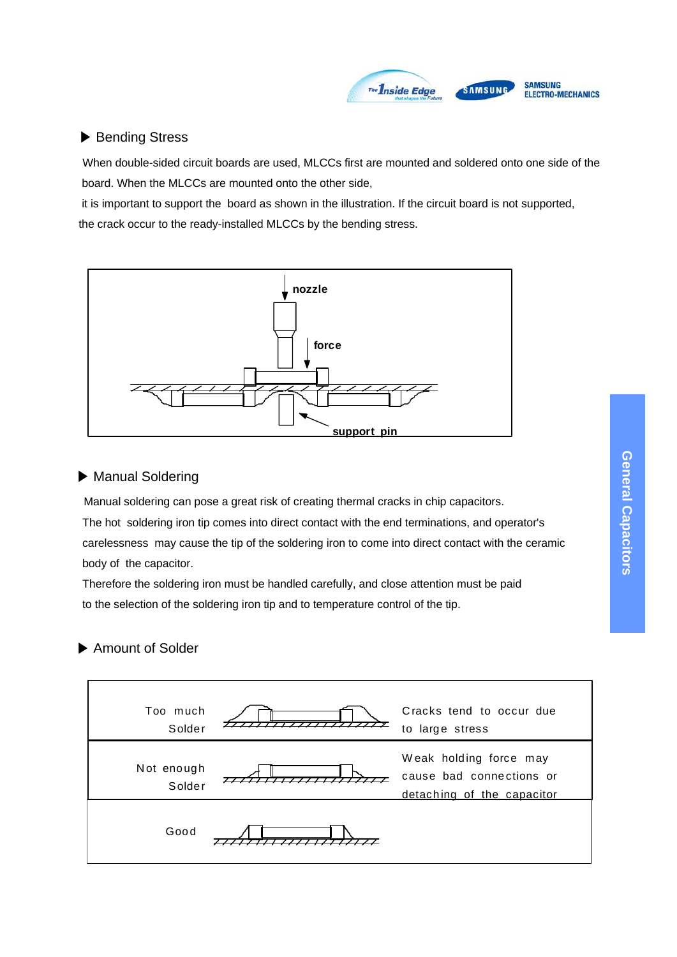

#### ▶ Bending Stress

When double-sided circuit boards are used, MLCCs first are mounted and soldered onto one side of the board. When the MLCCs are mounted onto the other side,

it is important to support the board as shown in the illustration. If the circuit board is not supported, the crack occur to the ready-installed MLCCs by the bending stress.



#### ▶ Manual Soldering

Manual soldering can pose a great risk of creating thermal cracks in chip capacitors. The hot soldering iron tip comes into direct contact with the end terminations, and operator's carelessness may cause the tip of the soldering iron to come into direct contact with the ceramic body of the capacitor.

Therefore the soldering iron must be handled carefully, and close attention must be paid to the selection of the soldering iron tip and to temperature control of the tip.

# ▶ Amount of Solder

| Too much<br>Solder   | Cracks tend to occur due<br>to large stress                                      |
|----------------------|----------------------------------------------------------------------------------|
| Not enough<br>Solder | Weak holding force may<br>cause bad connections or<br>detaching of the capacitor |
| Good                 |                                                                                  |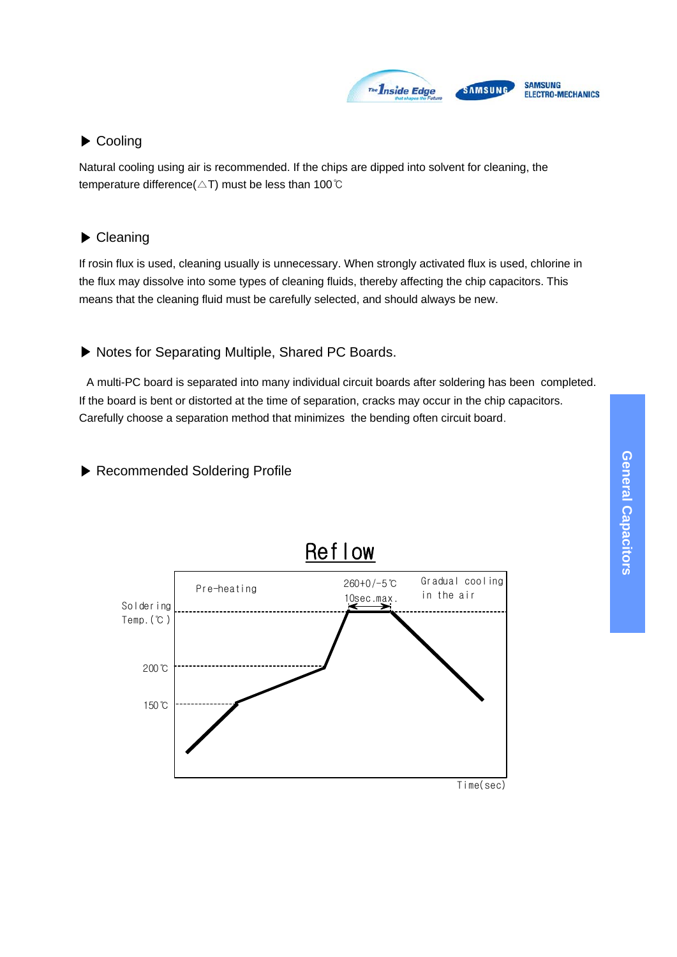

# ▶ Cooling

Natural cooling using air is recommended. If the chips are dipped into solvent for cleaning, the temperature difference( $\triangle T$ ) must be less than 100℃

# ▶ Cleaning

If rosin flux is used, cleaning usually is unnecessary. When strongly activated flux is used, chlorine in the flux may dissolve into some types of cleaning fluids, thereby affecting the chip capacitors. This means that the cleaning fluid must be carefully selected, and should always be new.

# ▶ Notes for Separating Multiple, Shared PC Boards.

A multi-PC board is separated into many individual circuit boards after soldering has been completed. If the board is bent or distorted at the time of separation, cracks may occur in the chip capacitors. Carefully choose a separation method that minimizes the bending often circuit board.

# ▶ Recommended Soldering Profile